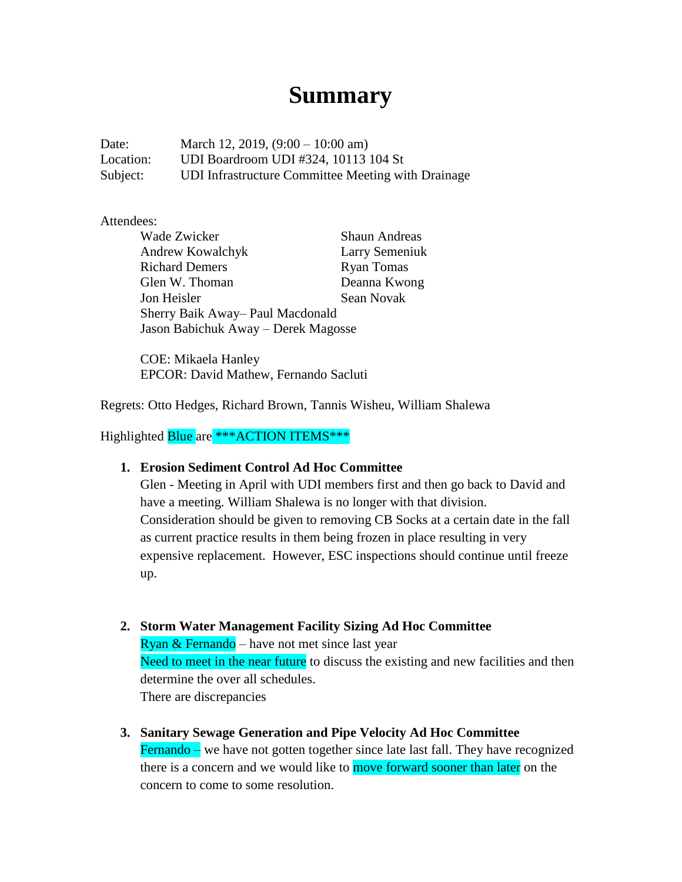# **Summary**

Date: March 12, 2019, (9:00 – 10:00 am) Location: UDI Boardroom UDI #324, 10113 104 St Subject: UDI Infrastructure Committee Meeting with Drainage

### Attendees:

Wade Zwicker Shaun Andreas Andrew Kowalchyk Larry Semeniuk Richard Demers Ryan Tomas Glen W. Thoman Deanna Kwong Jon Heisler Sean Novak Sherry Baik Away– Paul Macdonald Jason Babichuk Away – Derek Magosse

COE: Mikaela Hanley EPCOR: David Mathew, Fernando Sacluti

Regrets: Otto Hedges, Richard Brown, Tannis Wisheu, William Shalewa

Highlighted Blue are \*\*\* ACTION ITEMS\*\*\*

## **1. Erosion Sediment Control Ad Hoc Committee**

Glen - Meeting in April with UDI members first and then go back to David and have a meeting. William Shalewa is no longer with that division. Consideration should be given to removing CB Socks at a certain date in the fall as current practice results in them being frozen in place resulting in very expensive replacement. However, ESC inspections should continue until freeze up.

- **2. Storm Water Management Facility Sizing Ad Hoc Committee** Ryan & Fernando – have not met since last year Need to meet in the near future to discuss the existing and new facilities and then determine the over all schedules. There are discrepancies
- **3. Sanitary Sewage Generation and Pipe Velocity Ad Hoc Committee** Fernando – we have not gotten together since late last fall. They have recognized there is a concern and we would like to move forward sooner than later on the concern to come to some resolution.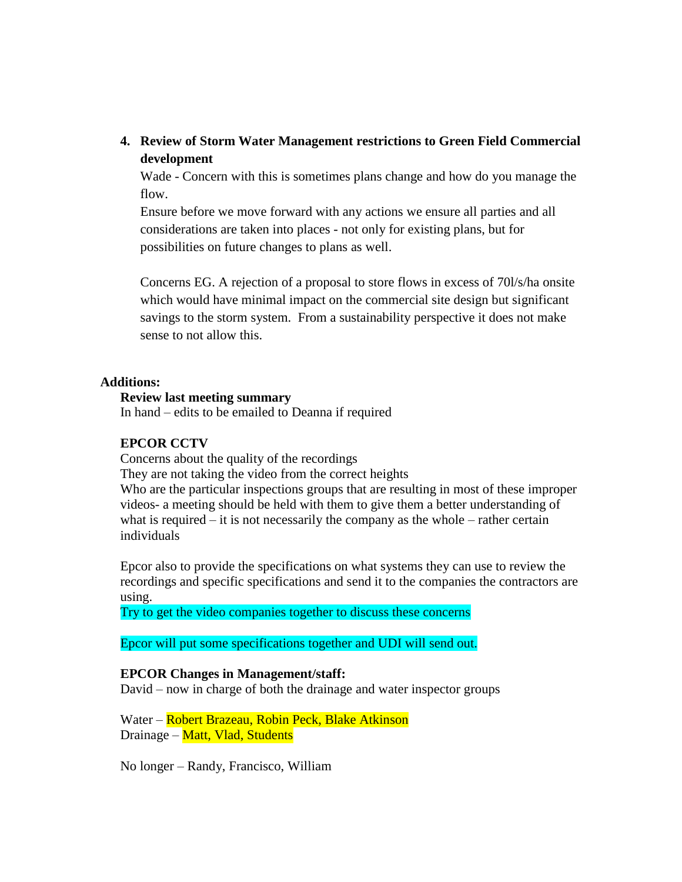**4. Review of Storm Water Management restrictions to Green Field Commercial development**

Wade - Concern with this is sometimes plans change and how do you manage the flow.

Ensure before we move forward with any actions we ensure all parties and all considerations are taken into places - not only for existing plans, but for possibilities on future changes to plans as well.

Concerns EG. A rejection of a proposal to store flows in excess of 70l/s/ha onsite which would have minimal impact on the commercial site design but significant savings to the storm system. From a sustainability perspective it does not make sense to not allow this.

#### **Additions:**

## **Review last meeting summary**

In hand – edits to be emailed to Deanna if required

#### **EPCOR CCTV**

Concerns about the quality of the recordings

They are not taking the video from the correct heights

Who are the particular inspections groups that are resulting in most of these improper videos- a meeting should be held with them to give them a better understanding of what is required – it is not necessarily the company as the whole – rather certain individuals

Epcor also to provide the specifications on what systems they can use to review the recordings and specific specifications and send it to the companies the contractors are using.

Try to get the video companies together to discuss these concerns

Epcor will put some specifications together and UDI will send out.

#### **EPCOR Changes in Management/staff:**

David – now in charge of both the drainage and water inspector groups

Water – Robert Brazeau, Robin Peck, Blake Atkinson Drainage – Matt, Vlad, Students

No longer – Randy, Francisco, William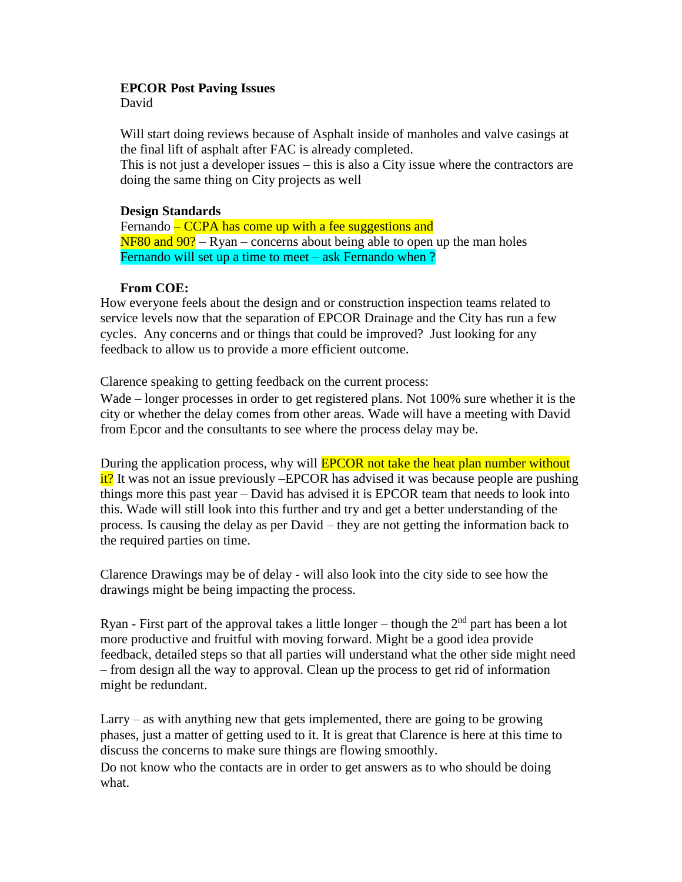## **EPCOR Post Paving Issues**

David

Will start doing reviews because of Asphalt inside of manholes and valve casings at the final lift of asphalt after FAC is already completed.

This is not just a developer issues – this is also a City issue where the contractors are doing the same thing on City projects as well

## **Design Standards**

Fernando – CCPA has come up with a fee suggestions and  $NFS0$  and  $90$ ? – Ryan – concerns about being able to open up the man holes Fernando will set up a time to meet – ask Fernando when ?

## **From COE:**

How everyone feels about the design and or construction inspection teams related to service levels now that the separation of EPCOR Drainage and the City has run a few cycles. Any concerns and or things that could be improved? Just looking for any feedback to allow us to provide a more efficient outcome.

Clarence speaking to getting feedback on the current process:

Wade – longer processes in order to get registered plans. Not 100% sure whether it is the city or whether the delay comes from other areas. Wade will have a meeting with David from Epcor and the consultants to see where the process delay may be.

During the application process, why will **EPCOR** not take the heat plan number without it? It was not an issue previously –EPCOR has advised it was because people are pushing things more this past year – David has advised it is EPCOR team that needs to look into this. Wade will still look into this further and try and get a better understanding of the process. Is causing the delay as per David – they are not getting the information back to the required parties on time.

Clarence Drawings may be of delay - will also look into the city side to see how the drawings might be being impacting the process.

Ryan - First part of the approval takes a little longer – though the  $2<sup>nd</sup>$  part has been a lot more productive and fruitful with moving forward. Might be a good idea provide feedback, detailed steps so that all parties will understand what the other side might need – from design all the way to approval. Clean up the process to get rid of information might be redundant.

Larry – as with anything new that gets implemented, there are going to be growing phases, just a matter of getting used to it. It is great that Clarence is here at this time to discuss the concerns to make sure things are flowing smoothly.

Do not know who the contacts are in order to get answers as to who should be doing what.